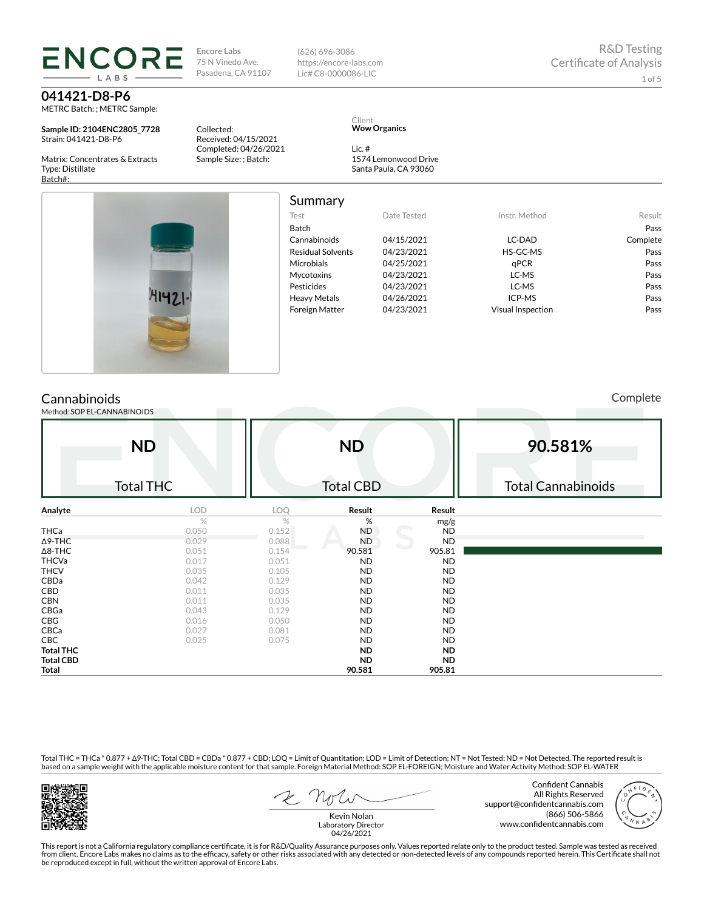# **ENCOF LARS**

**041421-D8-P6** METRC Batch: ; METRC Sample:

**Sample ID: 2104ENC2805\_7728** Strain: 041421-D8-P6

Matrix: Concentrates & Extracts Type: Distillate Batch#:

**Encore Labs** 75 N Vinedo Ave. Pasadena, CA 91107 (626) 696-3086 https://encore-labs.com Lic# C8-0000086-LIC

Collected: Received: 04/15/2021 Completed: 04/26/2021 Sample Size: ; Batch:

#### Client **Wow Organics**

Lic. # 1574 Lemonwood Drive Santa Paula, CA 93060

| $141421 - 1$ |
|--------------|
|              |

| Summary                  |             |                          |          |
|--------------------------|-------------|--------------------------|----------|
| Test                     | Date Tested | Instr. Method            | Result   |
| Batch                    |             |                          | Pass     |
| Cannabinoids             | 04/15/2021  | LC-DAD                   | Complete |
| <b>Residual Solvents</b> | 04/23/2021  | HS-GC-MS                 | Pass     |
| Microbials               | 04/25/2021  | aPCR                     | Pass     |
| Mycotoxins               | 04/23/2021  | LC-MS                    | Pass     |
| Pesticides               | 04/23/2021  | LC-MS                    | Pass     |
| <b>Heavy Metals</b>      | 04/26/2021  | ICP-MS                   | Pass     |
| <b>Foreign Matter</b>    | 04/23/2021  | <b>Visual Inspection</b> | Pass     |

## **Cannabinoids**

Method: SOP EL-CANNABINOIDS

Complete

|                  | <b>ND</b>        |       | <b>ND</b>        |           | 90.581%                   |
|------------------|------------------|-------|------------------|-----------|---------------------------|
|                  | <b>Total THC</b> |       | <b>Total CBD</b> |           | <b>Total Cannabinoids</b> |
| Analyte          | LOD              | LOQ   | Result           | Result    |                           |
|                  | $\%$             | %     | %                | mg/g      |                           |
| THCa             | 0.050            | 0.152 | <b>ND</b>        | ND        |                           |
| $\Delta$ 9-THC   | 0.029            | 0.088 | <b>ND</b>        | <b>ND</b> |                           |
| $\Delta$ 8-THC   | 0.051            | 0.154 | 90.581           | 905.81    |                           |
| <b>THCVa</b>     | 0.017            | 0.051 | ND               | <b>ND</b> |                           |
| <b>THCV</b>      | 0.035            | 0.105 | <b>ND</b>        | ND.       |                           |
| CBDa             | 0.042            | 0.129 | <b>ND</b>        | ND.       |                           |
| CBD              | 0.011            | 0.035 | <b>ND</b>        | ND.       |                           |
| <b>CBN</b>       | 0.011            | 0.035 | <b>ND</b>        | ND.       |                           |
| CBGa             | 0.043            | 0.129 | <b>ND</b>        | ND.       |                           |
| CBG              | 0.016            | 0.050 | <b>ND</b>        | ND.       |                           |
| CBCa             | 0.027            | 0.081 | <b>ND</b>        | ND.       |                           |
| CBC              | 0.025            | 0.075 | ND               | ND.       |                           |
| <b>Total THC</b> |                  |       | <b>ND</b>        | ND.       |                           |
| <b>Total CBD</b> |                  |       | <b>ND</b>        | ND.       |                           |
| Total            |                  |       | 90.581           | 905.81    |                           |

Total THC = THCa \* 0.877 + ∆9-THC; Total CBD = CBDa \* 0.877 + CBD; LOQ = Limit of Quantitation; LOD = Limit of Detection; NT = Not Tested; ND = Not Detected. The reported result is based on a sample weight with the applicable moisture content for that sample. Foreign Material Method: SOP EL-FOREIGN; Moisture and Water Activity Method: SOP EL-WATER



Confident Cannabis All Rights Reserved support@confidentcannabis.com (866) 506-5866 www.confidentcannabis.com



Kevin Nolan Laboratory Director 04/26/2021

This report is not a California regulatory compliance certificate, it is for R&D/Quality Assurance purposes only. Values reported relate only to the product tested. Sample was tested as received from client. Encore Labs makes no claims as to the efficacy, safety or other risks associated with any detected or non-detected levels of any compounds reported herein. This Certificate shall not<br>be reproduced except in fu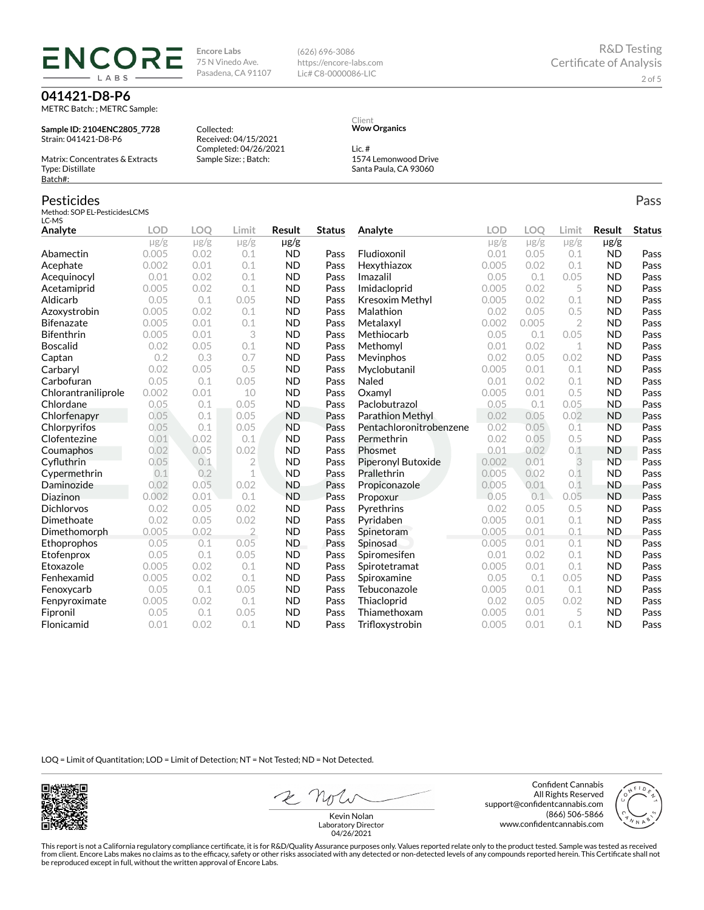# **ENCOR** LABS

**041421-D8-P6** METRC Batch: ; METRC Sample:

**Sample ID: 2104ENC2805\_7728** Strain: 041421-D8-P6

Matrix: Concentrates & Extracts Type: Distillate Batch#:

### Pesticides

Method: SOP EL-PesticidesLCMS LC-MS

Collected: Received: 04/15/2021 Completed: 04/26/2021 Sample Size: ; Batch:

**Encore Labs** 75 N Vinedo Ave. Pasadena, CA 91107

https://encore-labs.com Lic# C8-0000086-LIC

> Client **Wow Organics**

(626) 696-3086

Lic. # 1574 Lemonwood Drive

Santa Paula, CA 93060

| Analyte             | <b>LOD</b> | <b>LOO</b> | Limit          | <b>Result</b> | <b>Status</b> | Analyte                   | LOD       | <b>LOO</b> | Limit          | <b>Result</b> | <b>Status</b> |
|---------------------|------------|------------|----------------|---------------|---------------|---------------------------|-----------|------------|----------------|---------------|---------------|
|                     | $\mu$ g/g  | $\mu$ g/g  | $\mu$ g/g      | $\mu$ g/g     |               |                           | $\mu$ g/g | $\mu$ g/g  | $\mu$ g/g      | µg/g          |               |
| Abamectin           | 0.005      | 0.02       | 0.1            | <b>ND</b>     | Pass          | Fludioxonil               | 0.01      | 0.05       | 0.1            | <b>ND</b>     | Pass          |
| Acephate            | 0.002      | 0.01       | 0.1            | <b>ND</b>     | Pass          | Hexythiazox               | 0.005     | 0.02       | 0.1            | <b>ND</b>     | Pass          |
| Acequinocyl         | 0.01       | 0.02       | 0.1            | <b>ND</b>     | Pass          | Imazalil                  | 0.05      | 0.1        | 0.05           | <b>ND</b>     | Pass          |
| Acetamiprid         | 0.005      | 0.02       | 0.1            | <b>ND</b>     | Pass          | Imidacloprid              | 0.005     | 0.02       | 5              | <b>ND</b>     | Pass          |
| Aldicarb            | 0.05       | 0.1        | 0.05           | <b>ND</b>     | Pass          | Kresoxim Methyl           | 0.005     | 0.02       | 0.1            | <b>ND</b>     | Pass          |
| Azoxystrobin        | 0.005      | 0.02       | 0.1            | <b>ND</b>     | Pass          | Malathion                 | 0.02      | 0.05       | 0.5            | <b>ND</b>     | Pass          |
| Bifenazate          | 0.005      | 0.01       | 0.1            | <b>ND</b>     | Pass          | Metalaxyl                 | 0.002     | 0.005      | $\overline{2}$ | <b>ND</b>     | Pass          |
| <b>Bifenthrin</b>   | 0.005      | 0.01       | 3              | <b>ND</b>     | Pass          | Methiocarb                | 0.05      | 0.1        | 0.05           | <b>ND</b>     | Pass          |
| Boscalid            | 0.02       | 0.05       | 0.1            | <b>ND</b>     | Pass          | Methomyl                  | 0.01      | 0.02       | 1              | <b>ND</b>     | Pass          |
| Captan              | 0.2        | 0.3        | 0.7            | <b>ND</b>     | Pass          | Mevinphos                 | 0.02      | 0.05       | 0.02           | <b>ND</b>     | Pass          |
| Carbaryl            | 0.02       | 0.05       | 0.5            | <b>ND</b>     | Pass          | Myclobutanil              | 0.005     | 0.01       | 0.1            | <b>ND</b>     | Pass          |
| Carbofuran          | 0.05       | 0.1        | 0.05           | <b>ND</b>     | Pass          | Naled                     | 0.01      | 0.02       | 0.1            | <b>ND</b>     | Pass          |
| Chlorantraniliprole | 0.002      | 0.01       | 10             | <b>ND</b>     | Pass          | Oxamyl                    | 0.005     | 0.01       | 0.5            | <b>ND</b>     | Pass          |
| Chlordane           | 0.05       | 0.1        | 0.05           | <b>ND</b>     | Pass          | Paclobutrazol             | 0.05      | 0.1        | 0.05           | <b>ND</b>     | Pass          |
| Chlorfenapyr        | 0.05       | 0.1        | 0.05           | <b>ND</b>     | Pass          | Parathion Methyl          | 0.02      | 0.05       | 0.02           | <b>ND</b>     | Pass          |
| Chlorpyrifos        | 0.05       | 0.1        | 0.05           | <b>ND</b>     | Pass          | Pentachloronitrobenzene   | 0.02      | 0.05       | 0.1            | <b>ND</b>     | Pass          |
| Clofentezine        | 0.01       | 0.02       | 0.1            | <b>ND</b>     | Pass          | Permethrin                | 0.02      | 0.05       | 0.5            | <b>ND</b>     | Pass          |
| Coumaphos           | 0.02       | 0.05       | 0.02           | <b>ND</b>     | Pass          | Phosmet                   | 0.01      | 0.02       | 0.1            | <b>ND</b>     | Pass          |
| Cyfluthrin          | 0.05       | 0.1        | 2              | <b>ND</b>     | Pass          | <b>Piperonyl Butoxide</b> | 0.002     | 0.01       | 3              | <b>ND</b>     | Pass          |
| Cypermethrin        | 0.1        | 0.2        | 1              | <b>ND</b>     | Pass          | Prallethrin               | 0.005     | 0.02       | 0.1            | <b>ND</b>     | Pass          |
| Daminozide          | 0.02       | 0.05       | 0.02           | <b>ND</b>     | Pass          | Propiconazole             | 0.005     | 0.01       | 0.1            | <b>ND</b>     | Pass          |
| Diazinon            | 0.002      | 0.01       | 0.1            | <b>ND</b>     | Pass          | Propoxur                  | 0.05      | 0.1        | 0.05           | <b>ND</b>     | Pass          |
| <b>Dichlorvos</b>   | 0.02       | 0.05       | 0.02           | <b>ND</b>     | Pass          | Pyrethrins                | 0.02      | 0.05       | 0.5            | <b>ND</b>     | Pass          |
| Dimethoate          | 0.02       | 0.05       | 0.02           | <b>ND</b>     | Pass          | Pyridaben                 | 0.005     | 0.01       | 0.1            | <b>ND</b>     | Pass          |
| Dimethomorph        | 0.005      | 0.02       | $\overline{2}$ | <b>ND</b>     | Pass          | Spinetoram                | 0.005     | 0.01       | 0.1            | <b>ND</b>     | Pass          |
| Ethoprophos         | 0.05       | 0.1        | 0.05           | ND.           | Pass          | Spinosad                  | 0.005     | 0.01       | 0.1            | <b>ND</b>     | Pass          |
| Etofenprox          | 0.05       | 0.1        | 0.05           | <b>ND</b>     | Pass          | Spiromesifen              | 0.01      | 0.02       | 0.1            | <b>ND</b>     | Pass          |
| Etoxazole           | 0.005      | 0.02       | 0.1            | <b>ND</b>     | Pass          | Spirotetramat             | 0.005     | 0.01       | 0.1            | <b>ND</b>     | Pass          |
| Fenhexamid          | 0.005      | 0.02       | 0.1            | <b>ND</b>     | Pass          | Spiroxamine               | 0.05      | 0.1        | 0.05           | <b>ND</b>     | Pass          |
| Fenoxycarb          | 0.05       | 0.1        | 0.05           | <b>ND</b>     | Pass          | Tebuconazole              | 0.005     | 0.01       | 0.1            | <b>ND</b>     | Pass          |
| Fenpyroximate       | 0.005      | 0.02       | 0.1            | <b>ND</b>     | Pass          | Thiacloprid               | 0.02      | 0.05       | 0.02           | <b>ND</b>     | Pass          |
| Fipronil            | 0.05       | 0.1        | 0.05           | <b>ND</b>     | Pass          | Thiamethoxam              | 0.005     | 0.01       | 5              | <b>ND</b>     | Pass          |
| Flonicamid          | 0.01       | 0.02       | 0.1            | <b>ND</b>     | Pass          | Trifloxystrobin           | 0.005     | 0.01       | 0.1            | <b>ND</b>     | Pass          |

LOQ = Limit of Quantitation; LOD = Limit of Detection; NT = Not Tested; ND = Not Detected.



2 not

Confident Cannabis All Rights Reserved support@confidentcannabis.com (866) 506-5866 www.confidentcannabis.com



Kevin Nolan Laboratory Director 04/26/2021

This report is not a California regulatory compliance certificate, it is for R&D/Quality Assurance purposes only. Values reported relate only to the product tested. Sample was tested as received from client. Encore Labs makes no claims as to the efficacy, safety or other risks associated with any detected or non-detected levels of any compounds reported herein. This Certificate shall not<br>be reproduced except in fu

Pass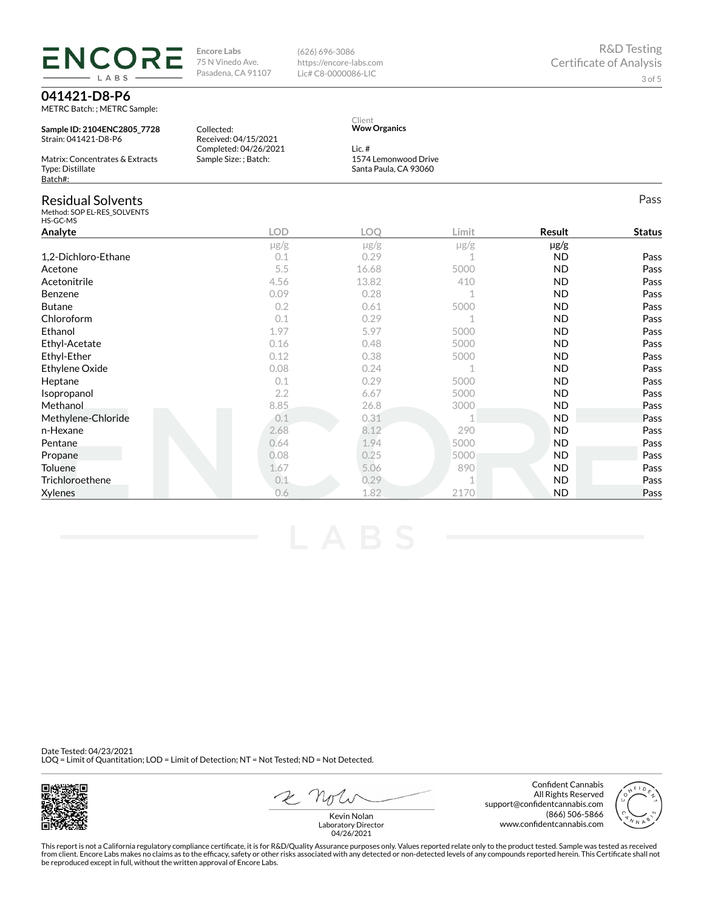**Encore Labs** 75 N Vinedo Ave. Pasadena, CA 91107 (626) 696-3086 https://encore-labs.com Lic# C8-0000086-LIC

## **041421-D8-P6**

**ENCOF** 

METRC Batch: ; METRC Sample:

LABS

**Sample ID: 2104ENC2805\_7728** Strain: 041421-D8-P6

Matrix: Concentrates & Extracts Type: Distillate Batch#:

| Collected:            |
|-----------------------|
| Received: 04/15/2021  |
| Completed: 04/26/2021 |
| Sample Size: ; Batch: |
|                       |

#### Client **Wow Organics**

Lic. # 1574 Lemonwood Drive Santa Paula, CA 93060

| <b>Residual Solvents</b><br>Method: SOP EL-RES_SOLVENTS<br>HS-GC-MS |            |           |           |           | Pass          |
|---------------------------------------------------------------------|------------|-----------|-----------|-----------|---------------|
| Analyte                                                             | <b>LOD</b> | LOQ       | Limit     | Result    | <b>Status</b> |
|                                                                     | $\mu$ g/g  | $\mu$ g/g | $\mu$ g/g | µg/g      |               |
| 1,2-Dichloro-Ethane                                                 | 0.1        | 0.29      |           | <b>ND</b> | Pass          |
| Acetone                                                             | 5.5        | 16.68     | 5000      | <b>ND</b> | Pass          |
| Acetonitrile                                                        | 4.56       | 13.82     | 410       | <b>ND</b> | Pass          |
| Benzene                                                             | 0.09       | 0.28      |           | <b>ND</b> | Pass          |
| <b>Butane</b>                                                       | 0.2        | 0.61      | 5000      | <b>ND</b> | Pass          |
| Chloroform                                                          | 0.1        | 0.29      |           | <b>ND</b> | Pass          |
| Ethanol                                                             | 1.97       | 5.97      | 5000      | ND        | Pass          |
| Ethyl-Acetate                                                       | 0.16       | 0.48      | 5000      | <b>ND</b> | Pass          |
| Ethyl-Ether                                                         | 0.12       | 0.38      | 5000      | <b>ND</b> | Pass          |
| Ethylene Oxide                                                      | 0.08       | 0.24      |           | <b>ND</b> | Pass          |
| Heptane                                                             | 0.1        | 0.29      | 5000      | ND        | Pass          |
| Isopropanol                                                         | 2.2        | 6.67      | 5000      | <b>ND</b> | Pass          |
| Methanol                                                            | 8.85       | 26.8      | 3000      | <b>ND</b> | Pass          |
| Methylene-Chloride                                                  | 0.1        | 0.31      |           | <b>ND</b> | Pass          |
| n-Hexane                                                            | 2.68       | 8.12      | 290       | <b>ND</b> | Pass          |
| Pentane                                                             | 0.64       | 1.94      | 5000      | <b>ND</b> | Pass          |
| Propane                                                             | 0.08       | 0.25      | 5000      | <b>ND</b> | Pass          |
| Toluene                                                             | 1.67       | 5.06      | 890       | <b>ND</b> | Pass          |
| Trichloroethene                                                     | 0.1        | 0.29      |           | <b>ND</b> | Pass          |
| Xylenes                                                             | 0.6        | 1.82      | 2170      | <b>ND</b> | Pass          |

Date Tested: 04/23/2021 LOQ = Limit of Quantitation; LOD = Limit of Detection; NT = Not Tested; ND = Not Detected.



2 not

Confident Cannabis All Rights Reserved support@confidentcannabis.com (866) 506-5866 www.confidentcannabis.com



Kevin Nolan Laboratory Director 04/26/2021

This report is not a California regulatory compliance certificate, it is for R&D/Quality Assurance purposes only. Values reported relate only to the product tested. Sample was tested as received from client. Encore Labs makes no claims as to the efficacy, safety or other risks associated with any detected or non-detected levels of any compounds reported herein. This Certificate shall not<br>be reproduced except in fu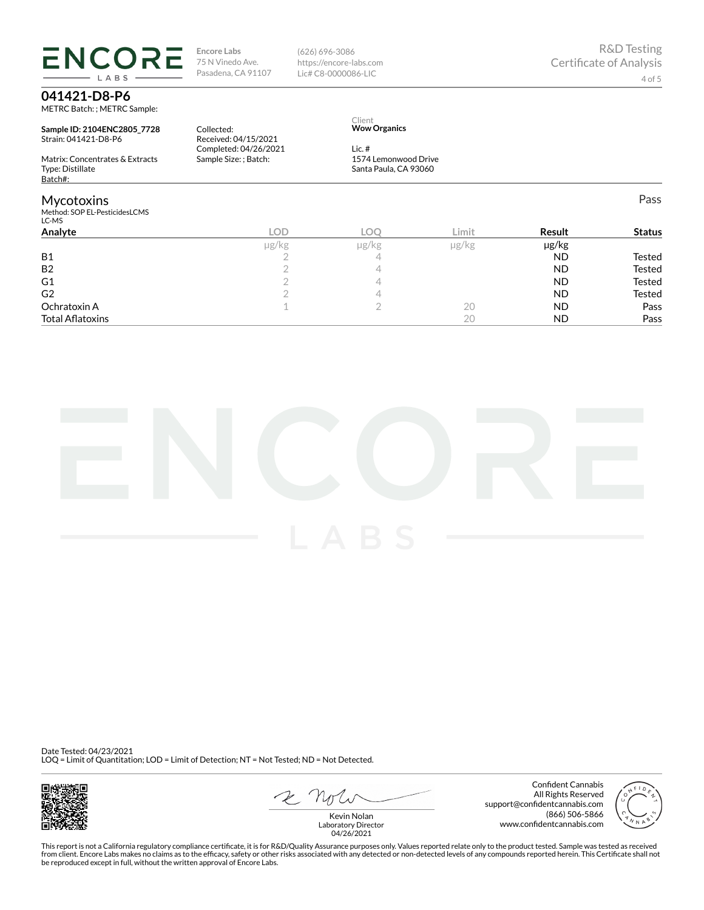**Encore Labs** 75 N Vinedo Ave. Pasadena, CA 91107

Received: 04/15/2021 Completed: 04/26/2021 Sample Size: ; Batch:

Collected:

(626) 696-3086 https://encore-labs.com Lic# C8-0000086-LIC

> Client **Wow Organics**

Lic. #

1574 Lemonwood Drive Santa Paula, CA 93060

## **041421-D8-P6**

METRC Batch: ; METRC Sample:

**ENCORE** LABS

**Sample ID: 2104ENC2805\_7728** Strain: 041421-D8-P6

Matrix: Concentrates & Extracts Type: Distillate Batch#:

### Mycotoxins

Method: SOP EL-PesticidesLCMS

| 1100100.301 LLTC300005LC113<br>LC-MS |       |       |           |               |
|--------------------------------------|-------|-------|-----------|---------------|
| Analyte<br><b>LOD</b>                | C     | Limit | Result    | <b>Status</b> |
| µg/kg                                | µg/kg | µg/kg | µg/kg     |               |
| <b>B1</b>                            |       |       | <b>ND</b> | Tested        |
| <b>B2</b>                            |       |       | <b>ND</b> | <b>Tested</b> |
| G1                                   |       |       | <b>ND</b> | <b>Tested</b> |
| G <sub>2</sub>                       |       |       | <b>ND</b> | <b>Tested</b> |
| Ochratoxin A                         |       | 20    | <b>ND</b> | Pass          |
| <b>Total Aflatoxins</b>              |       | 20    | <b>ND</b> | Pass          |

Date Tested: 04/23/2021 LOQ = Limit of Quantitation; LOD = Limit of Detection; NT = Not Tested; ND = Not Detected.



2 not

Confident Cannabis All Rights Reserved support@confidentcannabis.com (866) 506-5866 www.confidentcannabis.com



Kevin Nolan Laboratory Director 04/26/2021

This report is not a California regulatory compliance certificate, it is for R&D/Quality Assurance purposes only. Values reported relate only to the product tested. Sample was tested as received from client. Encore Labs makes no claims as to the efficacy, safety or other risks associated with any detected or non-detected levels of any compounds reported herein. This Certificate shall not<br>be reproduced except in fu

Pass